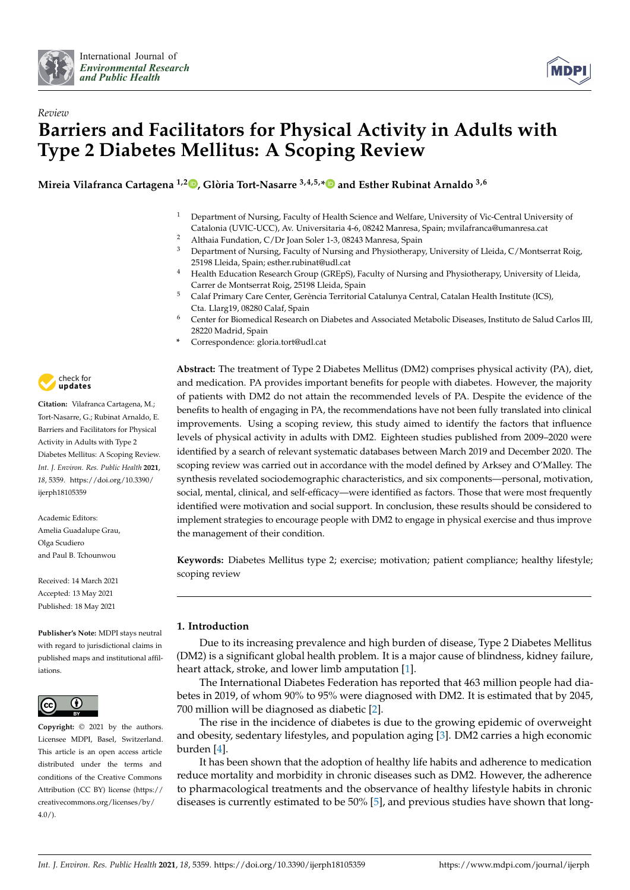



# *Review* **Barriers and Facilitators for Physical Activity in Adults with Type 2 Diabetes Mellitus: A Scoping Review**

**Mireia Vilafranca Cartagena 1,2 [,](https://orcid.org/0000-0003-2953-3196) Glòria Tort-Nasarre 3,4,5,[\\*](https://orcid.org/0000-0001-5270-821X) and Esther Rubinat Arnaldo 3,6**

- <sup>1</sup> Department of Nursing, Faculty of Health Science and Welfare, University of Vic-Central University of Catalonia (UVIC-UCC), Av. Universitaria 4-6, 08242 Manresa, Spain; mvilafranca@umanresa.cat
- <sup>2</sup> Althaia Fundation,  $C/Dr$  Joan Soler 1-3, 08243 Manresa, Spain  $\frac{3}{2}$  Department of Nursing Equility of Nursing and Physiotherapy <sup>3</sup> Department of Nursing, Faculty of Nursing and Physiotherapy, University of Lleida, C/Montserrat Roig,
- 25198 Lleida, Spain; esther.rubinat@udl.cat <sup>4</sup> Health Education Research Group (GREpS), Faculty of Nursing and Physiotherapy, University of Lleida, Carrer de Montserrat Roig, 25198 Lleida, Spain
- <sup>5</sup> Calaf Primary Care Center, Gerència Territorial Catalunya Central, Catalan Health Institute (ICS), Cta. Llarg19, 08280 Calaf, Spain
- <sup>6</sup> Center for Biomedical Research on Diabetes and Associated Metabolic Diseases, Instituto de Salud Carlos III, 28220 Madrid, Spain
- **\*** Correspondence: gloria.tort@udl.cat

**Abstract:** The treatment of Type 2 Diabetes Mellitus (DM2) comprises physical activity (PA), diet, and medication. PA provides important benefits for people with diabetes. However, the majority of patients with DM2 do not attain the recommended levels of PA. Despite the evidence of the benefits to health of engaging in PA, the recommendations have not been fully translated into clinical improvements. Using a scoping review, this study aimed to identify the factors that influence levels of physical activity in adults with DM2. Eighteen studies published from 2009–2020 were identified by a search of relevant systematic databases between March 2019 and December 2020. The scoping review was carried out in accordance with the model defined by Arksey and O'Malley. The synthesis revelated sociodemographic characteristics, and six components—personal, motivation, social, mental, clinical, and self-efficacy—were identified as factors. Those that were most frequently identified were motivation and social support. In conclusion, these results should be considered to implement strategies to encourage people with DM2 to engage in physical exercise and thus improve the management of their condition.

**Keywords:** Diabetes Mellitus type 2; exercise; motivation; patient compliance; healthy lifestyle; scoping review

# **1. Introduction**

Due to its increasing prevalence and high burden of disease, Type 2 Diabetes Mellitus (DM2) is a significant global health problem. It is a major cause of blindness, kidney failure, heart attack, stroke, and lower limb amputation [\[1\]](#page-13-0).

The International Diabetes Federation has reported that 463 million people had diabetes in 2019, of whom 90% to 95% were diagnosed with DM2. It is estimated that by 2045, 700 million will be diagnosed as diabetic [\[2\]](#page-13-1).

The rise in the incidence of diabetes is due to the growing epidemic of overweight and obesity, sedentary lifestyles, and population aging [\[3\]](#page-13-2). DM2 carries a high economic burden [\[4\]](#page-13-3).

It has been shown that the adoption of healthy life habits and adherence to medication reduce mortality and morbidity in chronic diseases such as DM2. However, the adherence to pharmacological treatments and the observance of healthy lifestyle habits in chronic diseases is currently estimated to be 50% [\[5\]](#page-13-4), and previous studies have shown that long-



**Citation:** Vilafranca Cartagena, M.; Tort-Nasarre, G.; Rubinat Arnaldo, E. Barriers and Facilitators for Physical Activity in Adults with Type 2 Diabetes Mellitus: A Scoping Review. *Int. J. Environ. Res. Public Health* **2021**, *18*, 5359. [https://doi.org/10.3390/](https://doi.org/10.3390/ijerph18105359) [ijerph18105359](https://doi.org/10.3390/ijerph18105359)

Academic Editors: Amelia Guadalupe Grau, Olga Scudiero and Paul B. Tchounwou

Received: 14 March 2021 Accepted: 13 May 2021 Published: 18 May 2021

**Publisher's Note:** MDPI stays neutral with regard to jurisdictional claims in published maps and institutional affiliations.



**Copyright:** © 2021 by the authors. Licensee MDPI, Basel, Switzerland. This article is an open access article distributed under the terms and conditions of the Creative Commons Attribution (CC BY) license (https:/[/](https://creativecommons.org/licenses/by/4.0/) [creativecommons.org/licenses/by/](https://creativecommons.org/licenses/by/4.0/)  $4.0/$ ).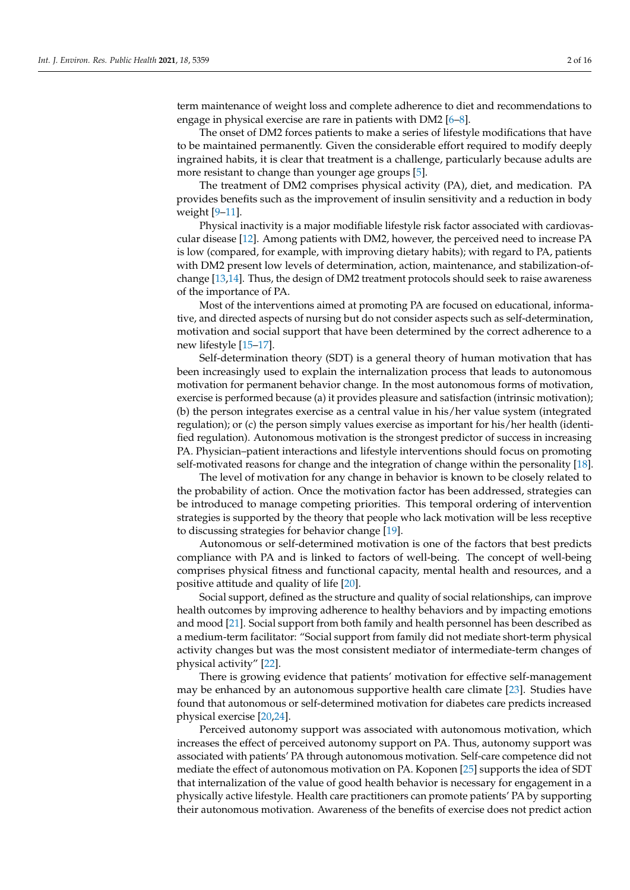term maintenance of weight loss and complete adherence to diet and recommendations to engage in physical exercise are rare in patients with DM2 [\[6](#page-13-5)[–8\]](#page-13-6).

The onset of DM2 forces patients to make a series of lifestyle modifications that have to be maintained permanently. Given the considerable effort required to modify deeply ingrained habits, it is clear that treatment is a challenge, particularly because adults are more resistant to change than younger age groups [\[5\]](#page-13-4).

The treatment of DM2 comprises physical activity (PA), diet, and medication. PA provides benefits such as the improvement of insulin sensitivity and a reduction in body weight [\[9](#page-13-7)[–11\]](#page-13-8).

Physical inactivity is a major modifiable lifestyle risk factor associated with cardiovascular disease [\[12\]](#page-13-9). Among patients with DM2, however, the perceived need to increase PA is low (compared, for example, with improving dietary habits); with regard to PA, patients with DM2 present low levels of determination, action, maintenance, and stabilization-ofchange [\[13](#page-13-10)[,14\]](#page-13-11). Thus, the design of DM2 treatment protocols should seek to raise awareness of the importance of PA.

Most of the interventions aimed at promoting PA are focused on educational, informative, and directed aspects of nursing but do not consider aspects such as self-determination, motivation and social support that have been determined by the correct adherence to a new lifestyle [\[15–](#page-13-12)[17\]](#page-13-13).

Self-determination theory (SDT) is a general theory of human motivation that has been increasingly used to explain the internalization process that leads to autonomous motivation for permanent behavior change. In the most autonomous forms of motivation, exercise is performed because (a) it provides pleasure and satisfaction (intrinsic motivation); (b) the person integrates exercise as a central value in his/her value system (integrated regulation); or (c) the person simply values exercise as important for his/her health (identified regulation). Autonomous motivation is the strongest predictor of success in increasing PA. Physician–patient interactions and lifestyle interventions should focus on promoting self-motivated reasons for change and the integration of change within the personality [\[18\]](#page-14-0).

The level of motivation for any change in behavior is known to be closely related to the probability of action. Once the motivation factor has been addressed, strategies can be introduced to manage competing priorities. This temporal ordering of intervention strategies is supported by the theory that people who lack motivation will be less receptive to discussing strategies for behavior change [\[19\]](#page-14-1).

Autonomous or self-determined motivation is one of the factors that best predicts compliance with PA and is linked to factors of well-being. The concept of well-being comprises physical fitness and functional capacity, mental health and resources, and a positive attitude and quality of life [\[20\]](#page-14-2).

Social support, defined as the structure and quality of social relationships, can improve health outcomes by improving adherence to healthy behaviors and by impacting emotions and mood [\[21\]](#page-14-3). Social support from both family and health personnel has been described as a medium-term facilitator: "Social support from family did not mediate short-term physical activity changes but was the most consistent mediator of intermediate-term changes of physical activity" [\[22\]](#page-14-4).

There is growing evidence that patients' motivation for effective self-management may be enhanced by an autonomous supportive health care climate [\[23\]](#page-14-5). Studies have found that autonomous or self-determined motivation for diabetes care predicts increased physical exercise [\[20,](#page-14-2)[24\]](#page-14-6).

Perceived autonomy support was associated with autonomous motivation, which increases the effect of perceived autonomy support on PA. Thus, autonomy support was associated with patients' PA through autonomous motivation. Self-care competence did not mediate the effect of autonomous motivation on PA. Koponen [\[25\]](#page-14-7) supports the idea of SDT that internalization of the value of good health behavior is necessary for engagement in a physically active lifestyle. Health care practitioners can promote patients' PA by supporting their autonomous motivation. Awareness of the benefits of exercise does not predict action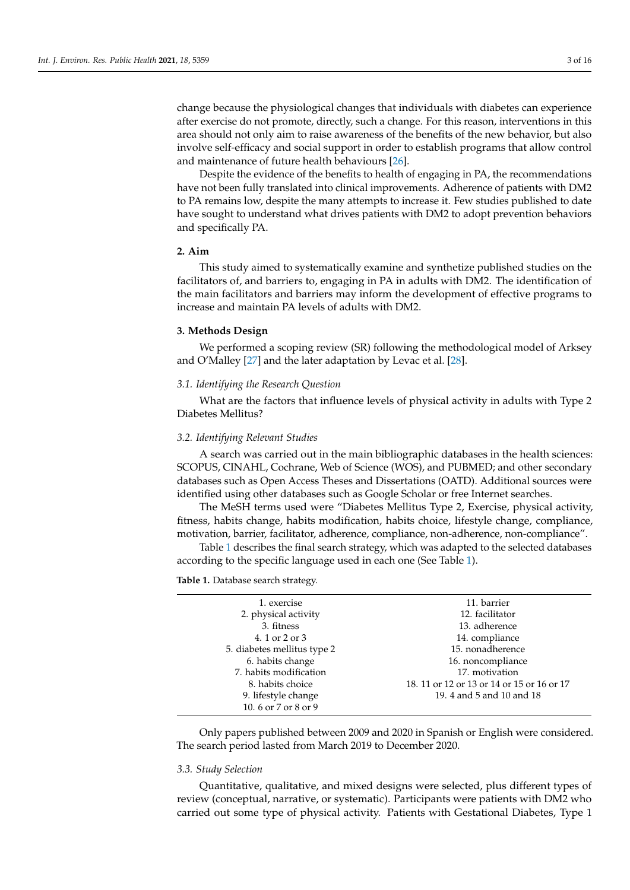change because the physiological changes that individuals with diabetes can experience after exercise do not promote, directly, such a change. For this reason, interventions in this area should not only aim to raise awareness of the benefits of the new behavior, but also involve self-efficacy and social support in order to establish programs that allow control and maintenance of future health behaviours [\[26\]](#page-14-8).

Despite the evidence of the benefits to health of engaging in PA, the recommendations have not been fully translated into clinical improvements. Adherence of patients with DM2 to PA remains low, despite the many attempts to increase it. Few studies published to date have sought to understand what drives patients with DM2 to adopt prevention behaviors and specifically PA.

# **2. Aim**

This study aimed to systematically examine and synthetize published studies on the facilitators of, and barriers to, engaging in PA in adults with DM2. The identification of the main facilitators and barriers may inform the development of effective programs to increase and maintain PA levels of adults with DM2.

# **3. Methods Design**

We performed a scoping review (SR) following the methodological model of Arksey and O'Malley [\[27\]](#page-14-9) and the later adaptation by Levac et al. [\[28\]](#page-14-10).

# *3.1. Identifying the Research Question*

What are the factors that influence levels of physical activity in adults with Type 2 Diabetes Mellitus?

#### *3.2. Identifying Relevant Studies*

A search was carried out in the main bibliographic databases in the health sciences: SCOPUS, CINAHL, Cochrane, Web of Science (WOS), and PUBMED; and other secondary databases such as Open Access Theses and Dissertations (OATD). Additional sources were identified using other databases such as Google Scholar or free Internet searches.

The MeSH terms used were "Diabetes Mellitus Type 2, Exercise, physical activity, fitness, habits change, habits modification, habits choice, lifestyle change, compliance, motivation, barrier, facilitator, adherence, compliance, non-adherence, non-compliance".

Table [1](#page-2-0) describes the final search strategy, which was adapted to the selected databases according to the specific language used in each one (See Table [1\)](#page-2-0).

<span id="page-2-0"></span>**Table 1.** Database search strategy.

| 1. exercise                 | 11. barrier                                |
|-----------------------------|--------------------------------------------|
| 2. physical activity        | 12. facilitator                            |
| 3. fitness                  | 13. adherence                              |
| 4. 1 or 2 or 3              | 14. compliance                             |
| 5. diabetes mellitus type 2 | 15. nonadherence                           |
| 6. habits change            | 16. noncompliance                          |
| 7. habits modification      | 17. motivation                             |
| 8. habits choice            | 18. 11 or 12 or 13 or 14 or 15 or 16 or 17 |
| 9. lifestyle change         | 19. 4 and 5 and 10 and 18                  |
| 10.6 or 7 or 8 or 9         |                                            |
|                             |                                            |

Only papers published between 2009 and 2020 in Spanish or English were considered. The search period lasted from March 2019 to December 2020.

# *3.3. Study Selection*

Quantitative, qualitative, and mixed designs were selected, plus different types of review (conceptual, narrative, or systematic). Participants were patients with DM2 who carried out some type of physical activity. Patients with Gestational Diabetes, Type 1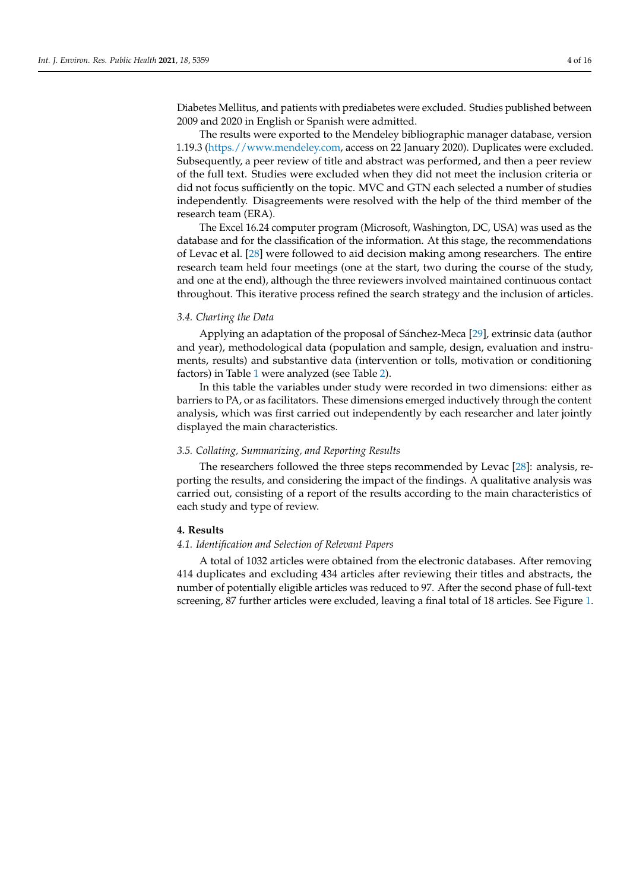Diabetes Mellitus, and patients with prediabetes were excluded. Studies published between 2009 and 2020 in English or Spanish were admitted.

The results were exported to the Mendeley bibliographic manager database, version 1.19.3 [\(https.//www.mendeley.com,](https.//www.mendeley.com) access on 22 January 2020). Duplicates were excluded. Subsequently, a peer review of title and abstract was performed, and then a peer review of the full text. Studies were excluded when they did not meet the inclusion criteria or did not focus sufficiently on the topic. MVC and GTN each selected a number of studies independently. Disagreements were resolved with the help of the third member of the research team (ERA).

The Excel 16.24 computer program (Microsoft, Washington, DC, USA) was used as the database and for the classification of the information. At this stage, the recommendations of Levac et al. [\[28\]](#page-14-10) were followed to aid decision making among researchers. The entire research team held four meetings (one at the start, two during the course of the study, and one at the end), although the three reviewers involved maintained continuous contact throughout. This iterative process refined the search strategy and the inclusion of articles.

# *3.4. Charting the Data*

Applying an adaptation of the proposal of Sánchez-Meca [\[29\]](#page-14-11), extrinsic data (author and year), methodological data (population and sample, design, evaluation and instruments, results) and substantive data (intervention or tolls, motivation or conditioning factors) in Table [1](#page-2-0) were analyzed (see Table [2\)](#page-6-0).

In this table the variables under study were recorded in two dimensions: either as barriers to PA, or as facilitators. These dimensions emerged inductively through the content analysis, which was first carried out independently by each researcher and later jointly displayed the main characteristics.

### *3.5. Collating, Summarizing, and Reporting Results*

The researchers followed the three steps recommended by Levac [\[28\]](#page-14-10): analysis, reporting the results, and considering the impact of the findings. A qualitative analysis was carried out, consisting of a report of the results according to the main characteristics of each study and type of review.

# **4. Results**

#### *4.1. Identification and Selection of Relevant Papers*

A total of 1032 articles were obtained from the electronic databases. After removing 414 duplicates and excluding 434 articles after reviewing their titles and abstracts, the number of potentially eligible articles was reduced to 97. After the second phase of full-text screening, 87 further articles were excluded, leaving a final total of 18 articles. See Figure [1.](#page-7-0)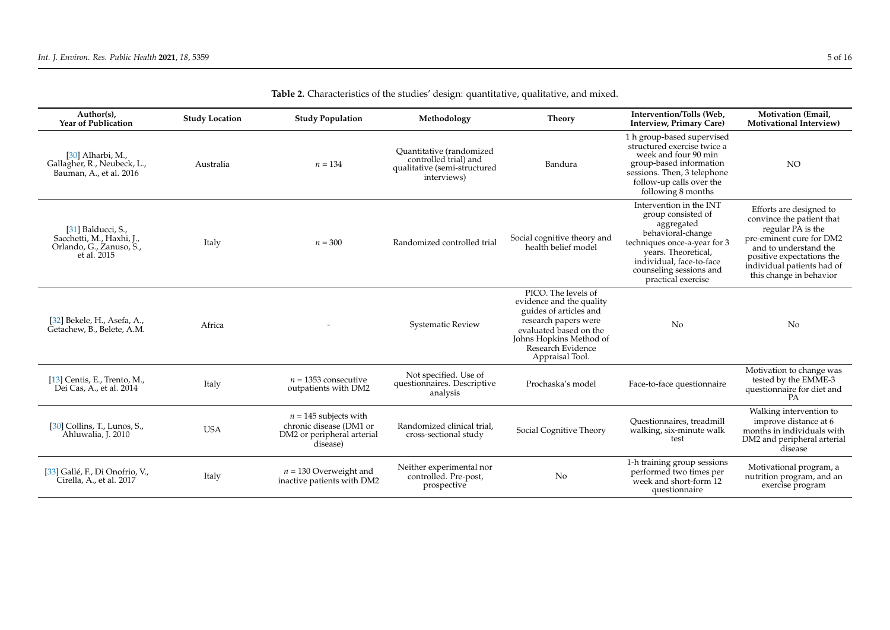| Author(s),<br><b>Year of Publication</b>                                                   | <b>Study Location</b> | <b>Study Population</b>                                                                      | Methodology                                                                                      | <b>Theory</b>                                                                                                                                                                                  | Intervention/Tolls (Web.<br><b>Interview, Primary Care)</b>                                                                                                                                                          | Motivation (Email,<br><b>Motivational Interview)</b>                                                                                                                                                                 |
|--------------------------------------------------------------------------------------------|-----------------------|----------------------------------------------------------------------------------------------|--------------------------------------------------------------------------------------------------|------------------------------------------------------------------------------------------------------------------------------------------------------------------------------------------------|----------------------------------------------------------------------------------------------------------------------------------------------------------------------------------------------------------------------|----------------------------------------------------------------------------------------------------------------------------------------------------------------------------------------------------------------------|
| [ $30$ ] Alharbi, M.,<br>Gallagher, R., Neubeck, L.,<br>Bauman, A., et al. 2016            | Australia             | $n = 134$                                                                                    | Quantitative (randomized<br>controlled trial) and<br>qualitative (semi-structured<br>interviews) | Bandura                                                                                                                                                                                        | 1 h group-based supervised<br>structured exercise twice a<br>week and four 90 min<br>group-based information<br>sessions. Then, 3 telephone<br>follow-up calls over the<br>following 8 months                        | <b>NO</b>                                                                                                                                                                                                            |
| [31] Balducci, S.,<br>Sacchetti, M., Haxhi, J.,<br>Orlando, G., Zanuso, S.,<br>et al. 2015 | Italy                 | $n = 300$                                                                                    | Randomized controlled trial                                                                      | Social cognitive theory and<br>health belief model                                                                                                                                             | Intervention in the INT<br>group consisted of<br>aggregated<br>behavioral-change<br>techniques once-a-year for 3<br>years. Theoretical,<br>individual, face-to-face<br>counseling sessions and<br>practical exercise | Efforts are designed to<br>convince the patient that<br>regular PA is the<br>pre-eminent cure for DM2<br>and to understand the<br>positive expectations the<br>individual patients had of<br>this change in behavior |
| [32] Bekele, H., Asefa, A.,<br>Getachew, B., Belete, A.M.                                  | Africa                |                                                                                              | <b>Systematic Review</b>                                                                         | PICO. The levels of<br>evidence and the quality<br>guides of articles and<br>research papers were<br>evaluated based on the<br>Johns Hopkins Method of<br>Research Evidence<br>Appraisal Tool. | N <sub>o</sub>                                                                                                                                                                                                       | No                                                                                                                                                                                                                   |
| [13] Centis, E., Trento, M.,<br>Dei Cas, A., et al. 2014                                   | Italy                 | $n = 1353$ consecutive<br>outpatients with DM2                                               | Not specified. Use of<br>questionnaires. Descriptive<br>analysis                                 | Prochaska's model                                                                                                                                                                              | Face-to-face questionnaire                                                                                                                                                                                           | Motivation to change was<br>tested by the EMME-3<br>questionnaire for diet and<br>PA                                                                                                                                 |
| [30] Collins, T., Lunos, S.,<br>Ahluwalia, J. 2010                                         | <b>USA</b>            | $n = 145$ subjects with<br>chronic disease (DM1 or<br>DM2 or peripheral arterial<br>disease) | Randomized clinical trial,<br>cross-sectional study                                              | Social Cognitive Theory                                                                                                                                                                        | Ouestionnaires, treadmill<br>walking, six-minute walk<br>test                                                                                                                                                        | Walking intervention to<br>improve distance at 6<br>months in individuals with<br>DM2 and peripheral arterial<br>disease                                                                                             |
| [33] Gallé, F., Di Onofrio, V.,<br>Cirella, A., et al. 2017                                | Italy                 | $n = 130$ Overweight and<br>inactive patients with DM2                                       | Neither experimental nor<br>controlled. Pre-post,<br>prospective                                 | No                                                                                                                                                                                             | 1-h training group sessions<br>performed two times per<br>week and short-form 12<br>questionnaire                                                                                                                    | Motivational program, a<br>nutrition program, and an<br>exercise program                                                                                                                                             |

# **Table 2.** Characteristics of the studies' design: quantitative, qualitative, and mixed.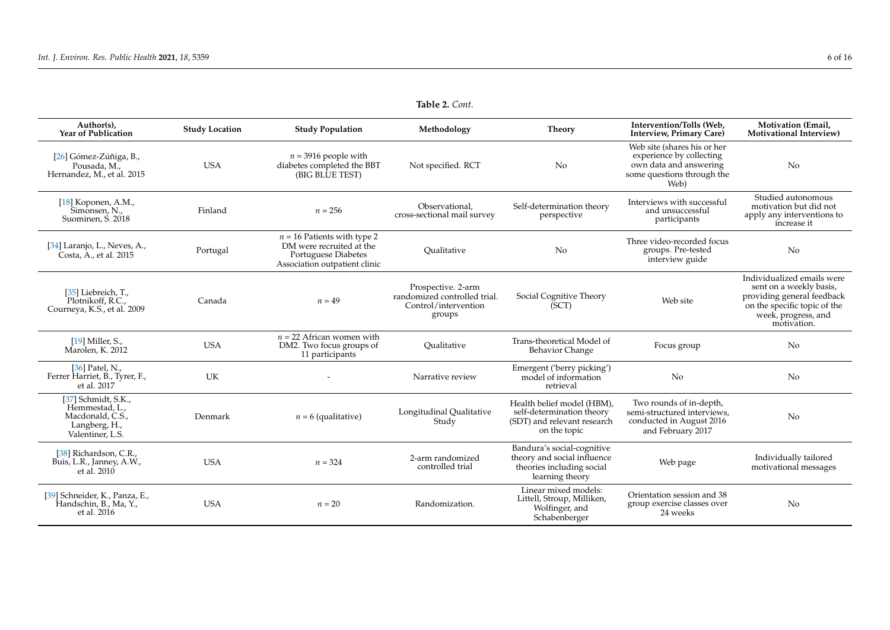| Author(s),<br><b>Year of Publication</b>                                                       | <b>Study Location</b> | <b>Study Population</b>                                                                                           | Methodology                                                                          | <b>Theory</b>                                                                                             | Intervention/Tolls (Web.<br><b>Interview, Primary Care)</b>                                                             | Motivation (Email,<br><b>Motivational Interview)</b>                                                                                                      |
|------------------------------------------------------------------------------------------------|-----------------------|-------------------------------------------------------------------------------------------------------------------|--------------------------------------------------------------------------------------|-----------------------------------------------------------------------------------------------------------|-------------------------------------------------------------------------------------------------------------------------|-----------------------------------------------------------------------------------------------------------------------------------------------------------|
| [26] Gómez-Zúñiga, B.,<br>Pousada, M.,<br>Hernandez, M., et al. 2015                           | <b>USA</b>            | $n = 3916$ people with<br>diabetes completed the BBT<br>(BIG BLUE TEST)                                           | Not specified. RCT                                                                   | No                                                                                                        | Web site (shares his or her<br>experience by collecting<br>own data and answering<br>some questions through the<br>Web) | N <sub>o</sub>                                                                                                                                            |
| [18] Koponen, A.M.,<br>Simonsen, N.,<br>Suominen, S. 2018                                      | Finland               | $n = 256$                                                                                                         | Observational.<br>cross-sectional mail survey                                        | Self-determination theory<br>perspective                                                                  | Interviews with successful<br>and unsuccessful<br>participants                                                          | Studied autonomous<br>motivation but did not<br>apply any interventions to<br>increase it                                                                 |
| [34] Laranjo, L., Neves, A.,<br>Costa, A., et al. 2015                                         | Portugal              | $n = 16$ Patients with type 2<br>DM were recruited at the<br>Portuguese Diabetes<br>Association outpatient clinic | Oualitative                                                                          | No.                                                                                                       | Three video-recorded focus<br>groups. Pre-tested<br>interview guide                                                     | N <sub>o</sub>                                                                                                                                            |
| [35] Liebreich. T<br>Plotnikoff, R.C.,<br>Courneya, K.S., et al. 2009                          | Canada                | $n = 49$                                                                                                          | Prospective. 2-arm<br>randomized controlled trial.<br>Control/intervention<br>groups | Social Cognitive Theory<br>(SCT)                                                                          | Web site                                                                                                                | Individualized emails were<br>sent on a weekly basis,<br>providing general feedback<br>on the specific topic of the<br>week, progress, and<br>motivation. |
| $[19]$ Miller. S<br>Marolen, K. 2012                                                           | <b>USA</b>            | $n = 22$ African women with<br>DM2. Two focus groups of<br>11 participants                                        | Qualitative                                                                          | Trans-theoretical Model of<br><b>Behavior Change</b>                                                      | Focus group                                                                                                             | N <sub>o</sub>                                                                                                                                            |
| [36] Patel, N.,<br>Ferrer Harriet, B., Tyrer, F.,<br>et al. 2017                               | UK                    |                                                                                                                   | Narrative review                                                                     | Emergent ('berry picking')<br>model of information<br>retrieval                                           | N <sub>o</sub>                                                                                                          | No                                                                                                                                                        |
| [37] Schmidt, S.K.,<br>Hemmestad, L.,<br>Macdonald, C.S.,<br>Langberg, H.,<br>Valentiner, L.S. | Denmark               | $n = 6$ (qualitative)                                                                                             | Longitudinal Qualitative<br>Study                                                    | Health belief model (HBM),<br>self-determination theory<br>(SDT) and relevant research<br>on the topic    | Two rounds of in-depth,<br>semi-structured interviews,<br>conducted in August 2016<br>and February 2017                 | N <sub>o</sub>                                                                                                                                            |
| [38] Richardson, C.R.,<br>Buis, L.R., Janney, A.W.,<br>et al. 2010                             | <b>USA</b>            | $n = 324$                                                                                                         | 2-arm randomized<br>controlled trial                                                 | Bandura's social-cognitive<br>theory and social influence<br>theories including social<br>learning theory | Web page                                                                                                                | Individually tailored<br>motivational messages                                                                                                            |
| [39] Schneider, K., Panza, E.,<br>Handschin, B., Ma, Y.,<br>et al. 2016                        | <b>USA</b>            | $n = 20$                                                                                                          | Randomization.                                                                       | Linear mixed models:<br>Littell, Stroup, Milliken,<br>Wolfinger, and<br>Schabenberger                     | Orientation session and 38<br>group exercise classes over<br>24 weeks                                                   | N <sub>o</sub>                                                                                                                                            |

**Table 2.** *Cont.*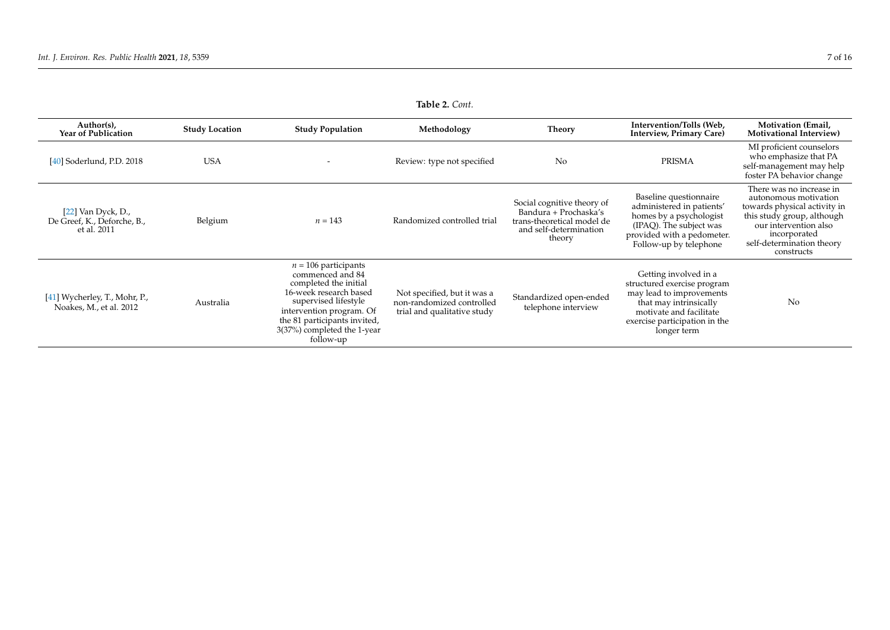<span id="page-6-0"></span>

| <b>Table 2.</b> Com.                                               |                       |                                                                                                                                                                                                                               |                                                                                         |                                                                                                                       |                                                                                                                                                                                       |                                                                                                                                                                                                     |
|--------------------------------------------------------------------|-----------------------|-------------------------------------------------------------------------------------------------------------------------------------------------------------------------------------------------------------------------------|-----------------------------------------------------------------------------------------|-----------------------------------------------------------------------------------------------------------------------|---------------------------------------------------------------------------------------------------------------------------------------------------------------------------------------|-----------------------------------------------------------------------------------------------------------------------------------------------------------------------------------------------------|
| Author(s),<br><b>Year of Publication</b>                           | <b>Study Location</b> | <b>Study Population</b>                                                                                                                                                                                                       | Methodology                                                                             | <b>Theory</b>                                                                                                         | Intervention/Tolls (Web,<br><b>Interview, Primary Care)</b>                                                                                                                           | <b>Motivation (Email,</b><br><b>Motivational Interview)</b>                                                                                                                                         |
| [40] Soderlund, P.D. 2018                                          | <b>USA</b>            |                                                                                                                                                                                                                               | Review: type not specified                                                              | No                                                                                                                    | <b>PRISMA</b>                                                                                                                                                                         | MI proficient counselors<br>who emphasize that PA<br>self-management may help<br>foster PA behavior change                                                                                          |
| $[22]$ Van Dyck, D.,<br>De Greef, K., Deforche, B.,<br>et al. 2011 | Belgium               | $n = 143$                                                                                                                                                                                                                     | Randomized controlled trial                                                             | Social cognitive theory of<br>Bandura + Prochaska's<br>trans-theoretical model de<br>and self-determination<br>theory | Baseline questionnaire<br>administered in patients'<br>homes by a psychologist<br>(IPAQ). The subject was<br>provided with a pedometer.<br>Follow-up by telephone                     | There was no increase in<br>autonomous motivation<br>towards physical activity in<br>this study group, although<br>our intervention also<br>incorporated<br>self-determination theory<br>constructs |
| [41] Wycherley, T., Mohr, P.,<br>Noakes, M., et al. 2012           | Australia             | $n = 106$ participants<br>commenced and 84<br>completed the initial<br>16-week research based<br>supervised lifestyle<br>intervention program. Of<br>the 81 participants invited,<br>3(37%) completed the 1-year<br>follow-up | Not specified, but it was a<br>non-randomized controlled<br>trial and qualitative study | Standardized open-ended<br>telephone interview                                                                        | Getting involved in a<br>structured exercise program<br>may lead to improvements<br>that may intrinsically<br>motivate and facilitate<br>exercise participation in the<br>longer term | No                                                                                                                                                                                                  |

**Table 2.** *Cont.*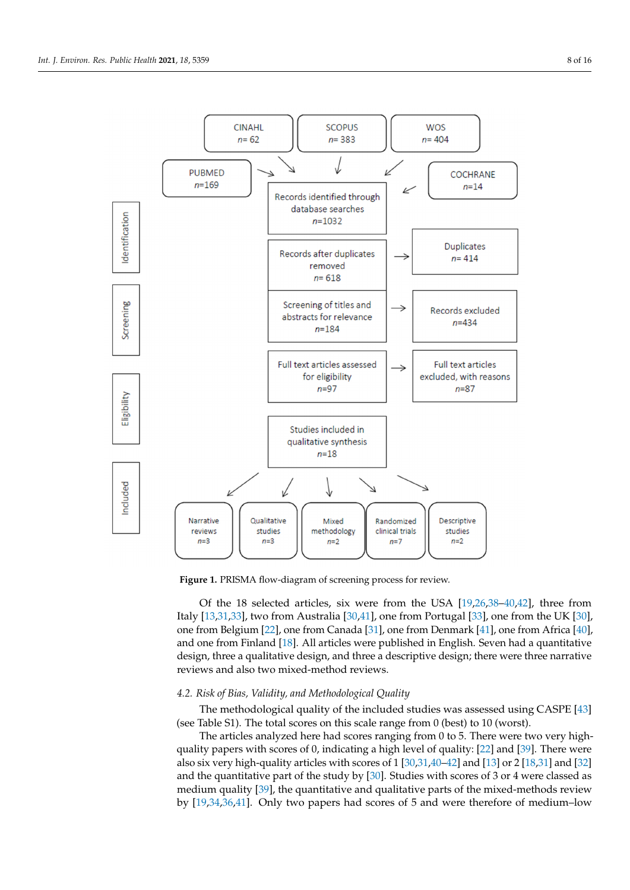<span id="page-7-0"></span>

**Figure 1.** PRISMA flow‐diagram of screening process for review. **Figure 1.** PRISMA flow-diagram of screening process for review.

Italy  $[13,31,33]$  $[13,31,33]$  $[13,31,33]$ , two from Australia  $[30,41]$  $[30,41]$ , one from Portugal  $[33]$ , one from the UK  $[30]$ , one from Belgium [22], one from Canada [31], one from Denmark [41], one fro[m A](#page-14-4)frica [40], and on[e fr](#page-14-0)om Finland [18]. All articles were published in English. Seven had a quantitative design, three a qualitative design, and three a descriptive design; there were three narrative reviews and also two mixed-method reviews. Of the 18 selected articles, six were from the USA [\[19](#page-14-1)[,26](#page-14-8)[,38–](#page-14-28)[40](#page-14-29)[,42\]](#page-14-30), three from

# 4.2. Risk of Bias, Validity, and Methodological Quality

*4.2. Risk of Bias, Validity, and Methodological Quality*  The methodological quality of the included studies was assessed using CASPE [\[43\]](#page-14-35) (see Table S1). The total scores on this scale range from 0 (best) to 10 (worst).

The methodological quality of the included studies was assessed using  $\frac{1}{2}$  and  $\frac{1}{2}$  are  $\frac{1}{2}$  are  $\frac{1}{2}$  are two very high-quality papers with scores of 0, indicating a high level of quality: [\[22\]](#page-14-4) and [\[39\]](#page-14-36). There were also six very high-quality articles with scores of 1 [\[30](#page-14-33)[,31,](#page-14-31)[40](#page-14-29)[–42\]](#page-14-30) and [\[13\]](#page-13-10) or 2 [\[18](#page-14-0)[,31\]](#page-14-31) and [\[32\]](#page-14-37) and the quantitative part of the study by [\[30\]](#page-14-33). Studies with scores of 3 or 4 were classed as medium quality [\[39\]](#page-14-36), the quantitative and qualitative parts of the mixed-methods review by [19,34,36,41]. Only two papers had scores of 5 [and](#page-14-1) were [th](#page-14-38)erefore of medium–low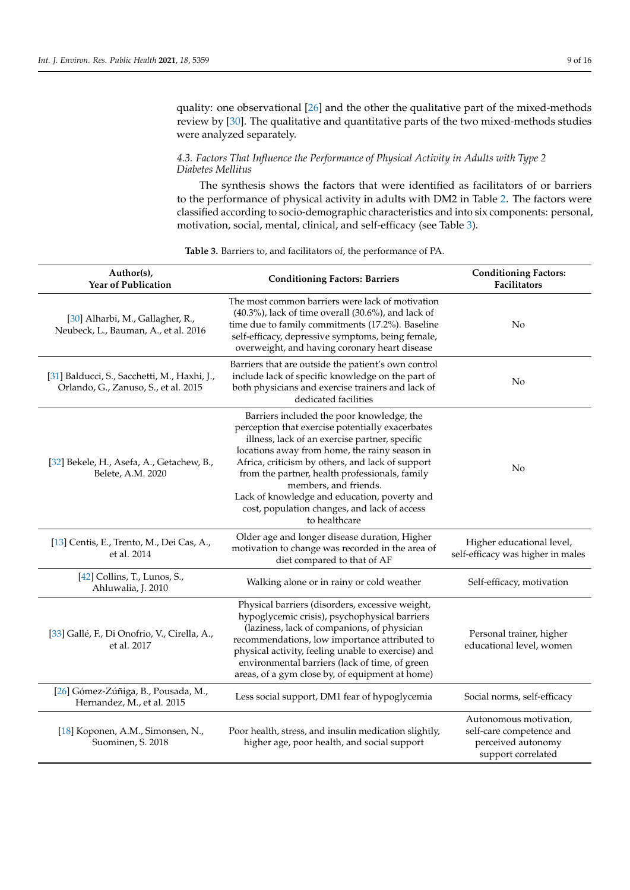quality: one observational [\[26\]](#page-14-8) and the other the qualitative part of the mixed-methods review by [\[30\]](#page-14-33). The qualitative and quantitative parts of the two mixed-methods studies were analyzed separately.

# *4.3. Factors That Influence the Performance of Physical Activity in Adults with Type 2 Diabetes Mellitus*

The synthesis shows the factors that were identified as facilitators of or barriers to the performance of physical activity in adults with DM2 in Table [2.](#page-6-0) The factors were classified according to socio-demographic characteristics and into six components: personal, motivation, social, mental, clinical, and self-efficacy (see Table [3\)](#page-10-0).

| Author(s),<br>Year of Publication                                                    | <b>Conditioning Factors: Barriers</b>                                                                                                                                                                                                                                                                                                                                                                                                            | <b>Conditioning Factors:</b><br>Facilitators                                                   |
|--------------------------------------------------------------------------------------|--------------------------------------------------------------------------------------------------------------------------------------------------------------------------------------------------------------------------------------------------------------------------------------------------------------------------------------------------------------------------------------------------------------------------------------------------|------------------------------------------------------------------------------------------------|
| [30] Alharbi, M., Gallagher, R.,<br>Neubeck, L., Bauman, A., et al. 2016             | The most common barriers were lack of motivation<br>$(40.3\%)$ , lack of time overall $(30.6\%)$ , and lack of<br>time due to family commitments (17.2%). Baseline<br>self-efficacy, depressive symptoms, being female,<br>overweight, and having coronary heart disease                                                                                                                                                                         | No                                                                                             |
| [31] Balducci, S., Sacchetti, M., Haxhi, J.,<br>Orlando, G., Zanuso, S., et al. 2015 | Barriers that are outside the patient's own control<br>include lack of specific knowledge on the part of<br>both physicians and exercise trainers and lack of<br>dedicated facilities                                                                                                                                                                                                                                                            | No                                                                                             |
| [32] Bekele, H., Asefa, A., Getachew, B.,<br>Belete, A.M. 2020                       | Barriers included the poor knowledge, the<br>perception that exercise potentially exacerbates<br>illness, lack of an exercise partner, specific<br>locations away from home, the rainy season in<br>Africa, criticism by others, and lack of support<br>from the partner, health professionals, family<br>members, and friends.<br>Lack of knowledge and education, poverty and<br>cost, population changes, and lack of access<br>to healthcare | No                                                                                             |
| [13] Centis, E., Trento, M., Dei Cas, A.,<br>et al. 2014                             | Older age and longer disease duration, Higher<br>motivation to change was recorded in the area of<br>diet compared to that of AF                                                                                                                                                                                                                                                                                                                 | Higher educational level,<br>self-efficacy was higher in males                                 |
| [42] Collins, T., Lunos, S.,<br>Ahluwalia, J. 2010                                   | Walking alone or in rainy or cold weather                                                                                                                                                                                                                                                                                                                                                                                                        | Self-efficacy, motivation                                                                      |
| [33] Gallé, F., Di Onofrio, V., Cirella, A.,<br>et al. 2017                          | Physical barriers (disorders, excessive weight,<br>hypoglycemic crisis), psychophysical barriers<br>(laziness, lack of companions, of physician<br>recommendations, low importance attributed to<br>physical activity, feeling unable to exercise) and<br>environmental barriers (lack of time, of green<br>areas, of a gym close by, of equipment at home)                                                                                      | Personal trainer, higher<br>educational level, women                                           |
| [26] Gómez-Zúñiga, B., Pousada, M.,<br>Hernandez, M., et al. 2015                    | Less social support, DM1 fear of hypoglycemia                                                                                                                                                                                                                                                                                                                                                                                                    | Social norms, self-efficacy                                                                    |
| [18] Koponen, A.M., Simonsen, N.,<br>Suominen, S. 2018                               | Poor health, stress, and insulin medication slightly,<br>higher age, poor health, and social support                                                                                                                                                                                                                                                                                                                                             | Autonomous motivation,<br>self-care competence and<br>perceived autonomy<br>support correlated |

# **Table 3.** Barriers to, and facilitators of, the performance of PA.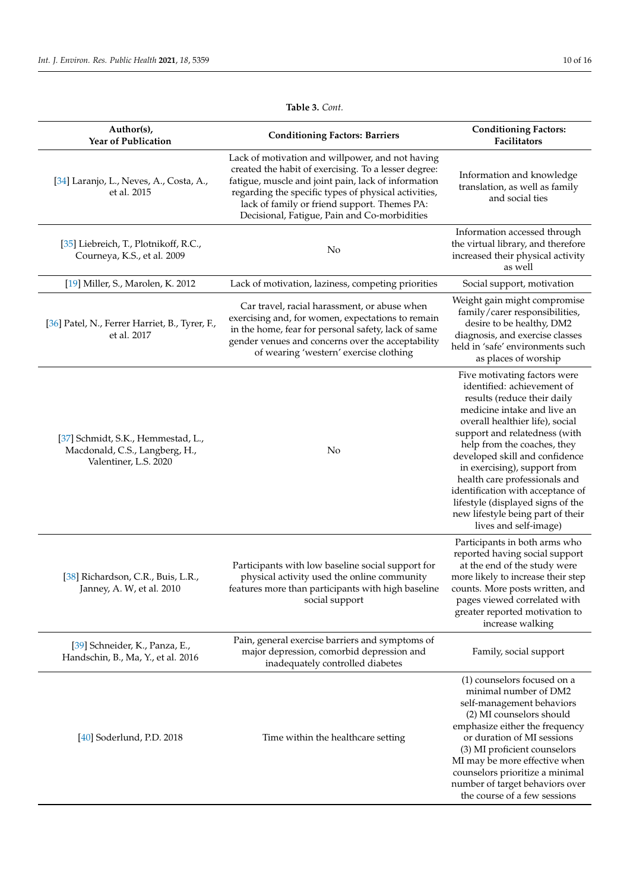| Author(s),<br><b>Year of Publication</b>                                                      | <b>Conditioning Factors: Barriers</b>                                                                                                                                                                                                                                                                                   | <b>Conditioning Factors:</b><br>Facilitators                                                                                                                                                                                                                                                                                                                                                                                                                           |
|-----------------------------------------------------------------------------------------------|-------------------------------------------------------------------------------------------------------------------------------------------------------------------------------------------------------------------------------------------------------------------------------------------------------------------------|------------------------------------------------------------------------------------------------------------------------------------------------------------------------------------------------------------------------------------------------------------------------------------------------------------------------------------------------------------------------------------------------------------------------------------------------------------------------|
| [34] Laranjo, L., Neves, A., Costa, A.,<br>et al. 2015                                        | Lack of motivation and willpower, and not having<br>created the habit of exercising. To a lesser degree:<br>fatigue, muscle and joint pain, lack of information<br>regarding the specific types of physical activities,<br>lack of family or friend support. Themes PA:<br>Decisional, Fatigue, Pain and Co-morbidities | Information and knowledge<br>translation, as well as family<br>and social ties                                                                                                                                                                                                                                                                                                                                                                                         |
| [35] Liebreich, T., Plotnikoff, R.C.,<br>Courneya, K.S., et al. 2009                          | No                                                                                                                                                                                                                                                                                                                      | Information accessed through<br>the virtual library, and therefore<br>increased their physical activity<br>as well                                                                                                                                                                                                                                                                                                                                                     |
| [19] Miller, S., Marolen, K. 2012                                                             | Lack of motivation, laziness, competing priorities                                                                                                                                                                                                                                                                      | Social support, motivation                                                                                                                                                                                                                                                                                                                                                                                                                                             |
| [36] Patel, N., Ferrer Harriet, B., Tyrer, F.,<br>et al. 2017                                 | Car travel, racial harassment, or abuse when<br>exercising and, for women, expectations to remain<br>in the home, fear for personal safety, lack of same<br>gender venues and concerns over the acceptability<br>of wearing 'western' exercise clothing                                                                 | Weight gain might compromise<br>family/carer responsibilities,<br>desire to be healthy, DM2<br>diagnosis, and exercise classes<br>held in 'safe' environments such<br>as places of worship                                                                                                                                                                                                                                                                             |
| [37] Schmidt, S.K., Hemmestad, L.,<br>Macdonald, C.S., Langberg, H.,<br>Valentiner, L.S. 2020 | No                                                                                                                                                                                                                                                                                                                      | Five motivating factors were<br>identified: achievement of<br>results (reduce their daily<br>medicine intake and live an<br>overall healthier life), social<br>support and relatedness (with<br>help from the coaches, they<br>developed skill and confidence<br>in exercising), support from<br>health care professionals and<br>identification with acceptance of<br>lifestyle (displayed signs of the<br>new lifestyle being part of their<br>lives and self-image) |
| [38] Richardson, C.R., Buis, L.R.,<br>Janney, A. W, et al. 2010                               | Participants with low baseline social support for<br>physical activity used the online community<br>features more than participants with high baseline<br>social support                                                                                                                                                | Participants in both arms who<br>reported having social support<br>at the end of the study were<br>more likely to increase their step<br>counts. More posts written, and<br>pages viewed correlated with<br>greater reported motivation to<br>increase walking                                                                                                                                                                                                         |
| [39] Schneider, K., Panza, E.,<br>Handschin, B., Ma, Y., et al. 2016                          | Pain, general exercise barriers and symptoms of<br>major depression, comorbid depression and<br>inadequately controlled diabetes                                                                                                                                                                                        | Family, social support                                                                                                                                                                                                                                                                                                                                                                                                                                                 |
| [40] Soderlund, P.D. 2018                                                                     | Time within the healthcare setting                                                                                                                                                                                                                                                                                      | (1) counselors focused on a<br>minimal number of DM2<br>self-management behaviors<br>(2) MI counselors should<br>emphasize either the frequency<br>or duration of MI sessions<br>(3) MI proficient counselors<br>MI may be more effective when<br>counselors prioritize a minimal<br>number of target behaviors over<br>the course of a few sessions                                                                                                                   |

**Table 3.** *Cont.*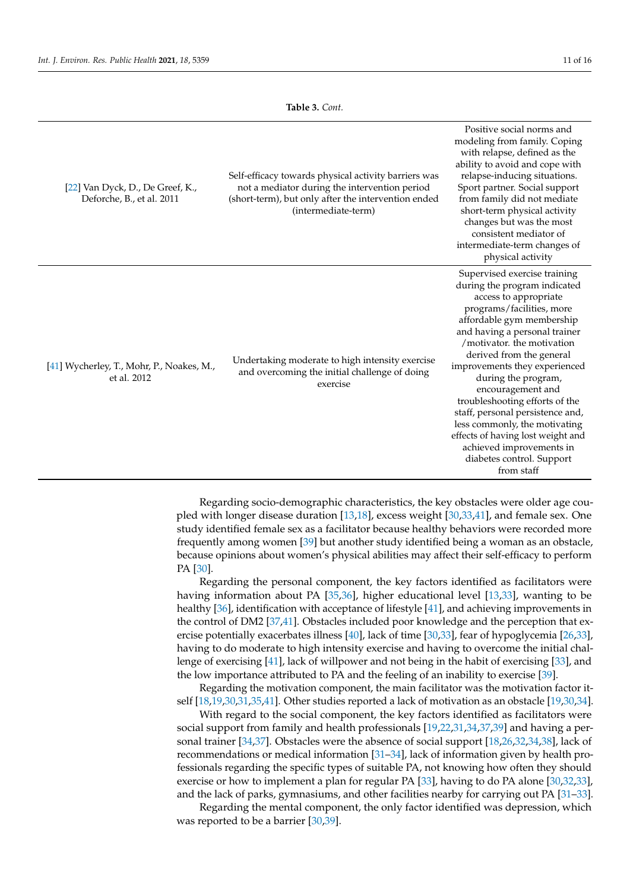**Table 3.** *Cont.*

<span id="page-10-0"></span>

| [22] Van Dyck, D., De Greef, K.,<br>Deforche, B., et al. 2011 | Self-efficacy towards physical activity barriers was<br>not a mediator during the intervention period<br>(short-term), but only after the intervention ended<br>(intermediate-term) | Positive social norms and<br>modeling from family. Coping<br>with relapse, defined as the<br>ability to avoid and cope with<br>relapse-inducing situations.<br>Sport partner. Social support<br>from family did not mediate<br>short-term physical activity<br>changes but was the most<br>consistent mediator of<br>intermediate-term changes of<br>physical activity                                                                                                                                                                     |
|---------------------------------------------------------------|-------------------------------------------------------------------------------------------------------------------------------------------------------------------------------------|--------------------------------------------------------------------------------------------------------------------------------------------------------------------------------------------------------------------------------------------------------------------------------------------------------------------------------------------------------------------------------------------------------------------------------------------------------------------------------------------------------------------------------------------|
| [41] Wycherley, T., Mohr, P., Noakes, M.,<br>et al. 2012      | Undertaking moderate to high intensity exercise<br>and overcoming the initial challenge of doing<br>exercise                                                                        | Supervised exercise training<br>during the program indicated<br>access to appropriate<br>programs/facilities, more<br>affordable gym membership<br>and having a personal trainer<br>/motivator, the motivation<br>derived from the general<br>improvements they experienced<br>during the program,<br>encouragement and<br>troubleshooting efforts of the<br>staff, personal persistence and,<br>less commonly, the motivating<br>effects of having lost weight and<br>achieved improvements in<br>diabetes control. Support<br>from staff |

Regarding socio-demographic characteristics, the key obstacles were older age coupled with longer disease duration [\[13](#page-13-10)[,18\]](#page-14-0), excess weight [\[30](#page-14-33)[,33](#page-14-32)[,41\]](#page-14-34), and female sex. One study identified female sex as a facilitator because healthy behaviors were recorded more frequently among women [\[39\]](#page-14-36) but another study identified being a woman as an obstacle, because opinions about women's physical abilities may affect their self-efficacy to perform PA [\[30\]](#page-14-33).

Regarding the personal component, the key factors identified as facilitators were having information about PA [\[35](#page-14-40)[,36\]](#page-14-39), higher educational level [\[13](#page-13-10)[,33\]](#page-14-32), wanting to be healthy [\[36\]](#page-14-39), identification with acceptance of lifestyle [\[41\]](#page-14-34), and achieving improvements in the control of DM2 [\[37](#page-14-41)[,41\]](#page-14-34). Obstacles included poor knowledge and the perception that ex-ercise potentially exacerbates illness [\[40\]](#page-14-29), lack of time [\[30](#page-14-33)[,33\]](#page-14-32), fear of hypoglycemia [\[26](#page-14-8),33], having to do moderate to high intensity exercise and having to overcome the initial challenge of exercising [\[41\]](#page-14-34), lack of willpower and not being in the habit of exercising [\[33\]](#page-14-32), and the low importance attributed to PA and the feeling of an inability to exercise [\[39\]](#page-14-36).

Regarding the motivation component, the main facilitator was the motivation factor itself [\[18,](#page-14-0)[19,](#page-14-1)[30](#page-14-33)[,31](#page-14-31)[,35](#page-14-40)[,41\]](#page-14-34). Other studies reported a lack of motivation as an obstacle [\[19](#page-14-1)[,30](#page-14-33)[,34\]](#page-14-38).

With regard to the social component, the key factors identified as facilitators were social support from family and health professionals [\[19,](#page-14-1)[22,](#page-14-4)[31,](#page-14-31)[34,](#page-14-38)[37,](#page-14-41)[39\]](#page-14-36) and having a personal trainer [\[34,](#page-14-38)[37\]](#page-14-41). Obstacles were the absence of social support [\[18](#page-14-0)[,26](#page-14-8)[,32](#page-14-37)[,34](#page-14-38)[,38\]](#page-14-28), lack of recommendations or medical information [\[31](#page-14-31)[–34\]](#page-14-38), lack of information given by health professionals regarding the specific types of suitable PA, not knowing how often they should exercise or how to implement a plan for regular PA [\[33\]](#page-14-32), having to do PA alone [\[30](#page-14-33)[,32,](#page-14-37)[33\]](#page-14-32), and the lack of parks, gymnasiums, and other facilities nearby for carrying out PA [\[31](#page-14-31)[–33\]](#page-14-32).

Regarding the mental component, the only factor identified was depression, which was reported to be a barrier [\[30](#page-14-33)[,39\]](#page-14-36).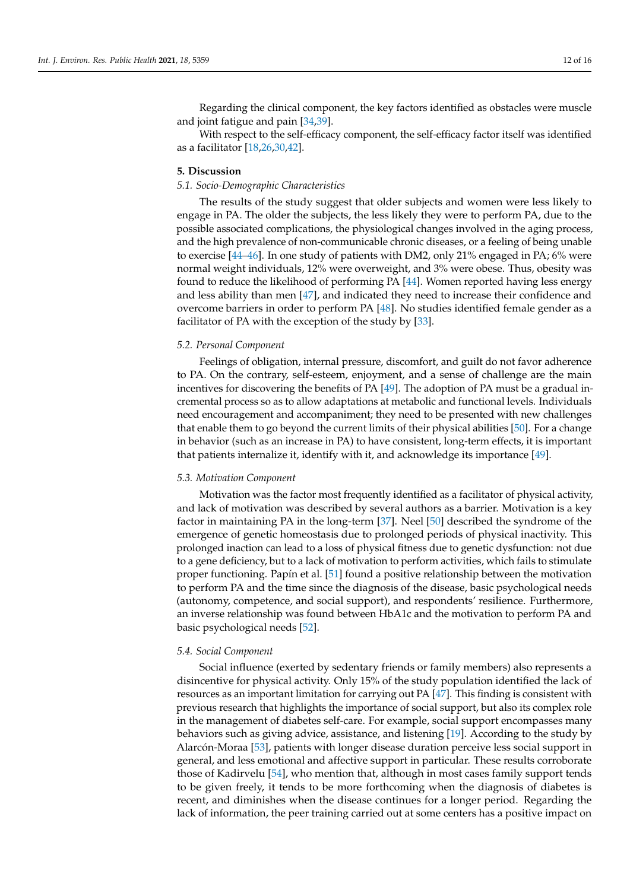Regarding the clinical component, the key factors identified as obstacles were muscle and joint fatigue and pain [\[34](#page-14-38)[,39\]](#page-14-36).

With respect to the self-efficacy component, the self-efficacy factor itself was identified as a facilitator [\[18](#page-14-0)[,26](#page-14-8)[,30](#page-14-33)[,42\]](#page-14-30).

# **5. Discussion**

#### *5.1. Socio-Demographic Characteristics*

The results of the study suggest that older subjects and women were less likely to engage in PA. The older the subjects, the less likely they were to perform PA, due to the possible associated complications, the physiological changes involved in the aging process, and the high prevalence of non-communicable chronic diseases, or a feeling of being unable to exercise [\[44](#page-15-0)[–46\]](#page-15-1). In one study of patients with DM2, only 21% engaged in PA; 6% were normal weight individuals, 12% were overweight, and 3% were obese. Thus, obesity was found to reduce the likelihood of performing PA [\[44\]](#page-15-0). Women reported having less energy and less ability than men [\[47\]](#page-15-2), and indicated they need to increase their confidence and overcome barriers in order to perform PA [\[48\]](#page-15-3). No studies identified female gender as a facilitator of PA with the exception of the study by [\[33\]](#page-14-32).

#### *5.2. Personal Component*

Feelings of obligation, internal pressure, discomfort, and guilt do not favor adherence to PA. On the contrary, self-esteem, enjoyment, and a sense of challenge are the main incentives for discovering the benefits of PA [\[49\]](#page-15-4). The adoption of PA must be a gradual incremental process so as to allow adaptations at metabolic and functional levels. Individuals need encouragement and accompaniment; they need to be presented with new challenges that enable them to go beyond the current limits of their physical abilities [\[50\]](#page-15-5). For a change in behavior (such as an increase in PA) to have consistent, long-term effects, it is important that patients internalize it, identify with it, and acknowledge its importance [\[49\]](#page-15-4).

#### *5.3. Motivation Component*

Motivation was the factor most frequently identified as a facilitator of physical activity, and lack of motivation was described by several authors as a barrier. Motivation is a key factor in maintaining PA in the long-term [\[37\]](#page-14-41). Neel [\[50\]](#page-15-5) described the syndrome of the emergence of genetic homeostasis due to prolonged periods of physical inactivity. This prolonged inaction can lead to a loss of physical fitness due to genetic dysfunction: not due to a gene deficiency, but to a lack of motivation to perform activities, which fails to stimulate proper functioning. Papín et al. [\[51\]](#page-15-6) found a positive relationship between the motivation to perform PA and the time since the diagnosis of the disease, basic psychological needs (autonomy, competence, and social support), and respondents' resilience. Furthermore, an inverse relationship was found between HbA1c and the motivation to perform PA and basic psychological needs [\[52\]](#page-15-7).

#### *5.4. Social Component*

Social influence (exerted by sedentary friends or family members) also represents a disincentive for physical activity. Only 15% of the study population identified the lack of resources as an important limitation for carrying out PA [\[47\]](#page-15-2). This finding is consistent with previous research that highlights the importance of social support, but also its complex role in the management of diabetes self-care. For example, social support encompasses many behaviors such as giving advice, assistance, and listening [\[19\]](#page-14-1). According to the study by Alarcón-Moraa [\[53\]](#page-15-8), patients with longer disease duration perceive less social support in general, and less emotional and affective support in particular. These results corroborate those of Kadirvelu [\[54\]](#page-15-9), who mention that, although in most cases family support tends to be given freely, it tends to be more forthcoming when the diagnosis of diabetes is recent, and diminishes when the disease continues for a longer period. Regarding the lack of information, the peer training carried out at some centers has a positive impact on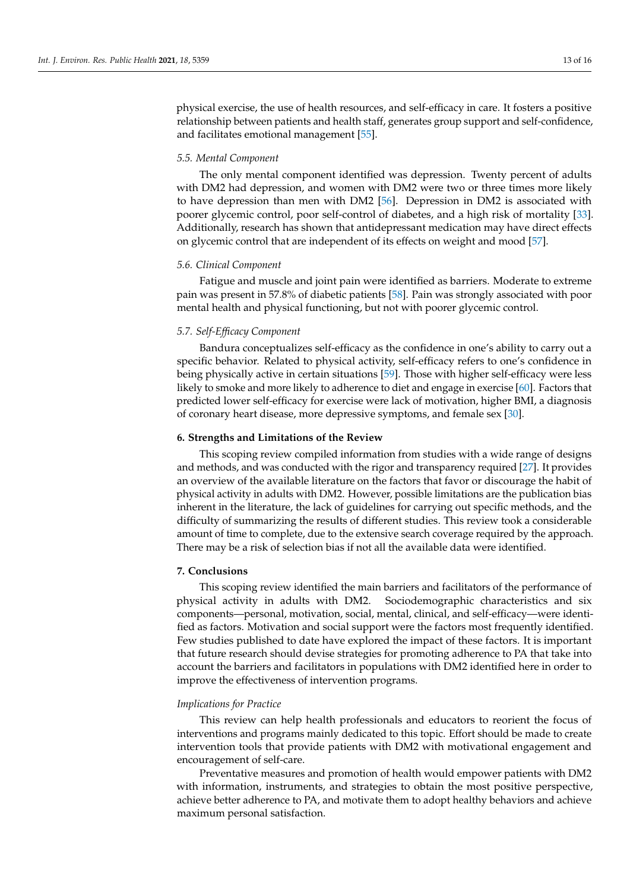physical exercise, the use of health resources, and self-efficacy in care. It fosters a positive relationship between patients and health staff, generates group support and self-confidence, and facilitates emotional management [\[55\]](#page-15-10).

# *5.5. Mental Component*

The only mental component identified was depression. Twenty percent of adults with DM2 had depression, and women with DM2 were two or three times more likely to have depression than men with DM2 [\[56\]](#page-15-11). Depression in DM2 is associated with poorer glycemic control, poor self-control of diabetes, and a high risk of mortality [\[33\]](#page-14-32). Additionally, research has shown that antidepressant medication may have direct effects on glycemic control that are independent of its effects on weight and mood [\[57\]](#page-15-12).

### *5.6. Clinical Component*

Fatigue and muscle and joint pain were identified as barriers. Moderate to extreme pain was present in 57.8% of diabetic patients [\[58\]](#page-15-13). Pain was strongly associated with poor mental health and physical functioning, but not with poorer glycemic control.

# *5.7. Self-Efficacy Component*

Bandura conceptualizes self-efficacy as the confidence in one's ability to carry out a specific behavior. Related to physical activity, self-efficacy refers to one's confidence in being physically active in certain situations [\[59\]](#page-15-14). Those with higher self-efficacy were less likely to smoke and more likely to adherence to diet and engage in exercise [\[60\]](#page-15-15). Factors that predicted lower self-efficacy for exercise were lack of motivation, higher BMI, a diagnosis of coronary heart disease, more depressive symptoms, and female sex [\[30\]](#page-14-33).

#### **6. Strengths and Limitations of the Review**

This scoping review compiled information from studies with a wide range of designs and methods, and was conducted with the rigor and transparency required [\[27\]](#page-14-9). It provides an overview of the available literature on the factors that favor or discourage the habit of physical activity in adults with DM2. However, possible limitations are the publication bias inherent in the literature, the lack of guidelines for carrying out specific methods, and the difficulty of summarizing the results of different studies. This review took a considerable amount of time to complete, due to the extensive search coverage required by the approach. There may be a risk of selection bias if not all the available data were identified.

# **7. Conclusions**

This scoping review identified the main barriers and facilitators of the performance of physical activity in adults with DM2. Sociodemographic characteristics and six components—personal, motivation, social, mental, clinical, and self-efficacy—were identified as factors. Motivation and social support were the factors most frequently identified. Few studies published to date have explored the impact of these factors. It is important that future research should devise strategies for promoting adherence to PA that take into account the barriers and facilitators in populations with DM2 identified here in order to improve the effectiveness of intervention programs.

### *Implications for Practice*

This review can help health professionals and educators to reorient the focus of interventions and programs mainly dedicated to this topic. Effort should be made to create intervention tools that provide patients with DM2 with motivational engagement and encouragement of self-care.

Preventative measures and promotion of health would empower patients with DM2 with information, instruments, and strategies to obtain the most positive perspective, achieve better adherence to PA, and motivate them to adopt healthy behaviors and achieve maximum personal satisfaction.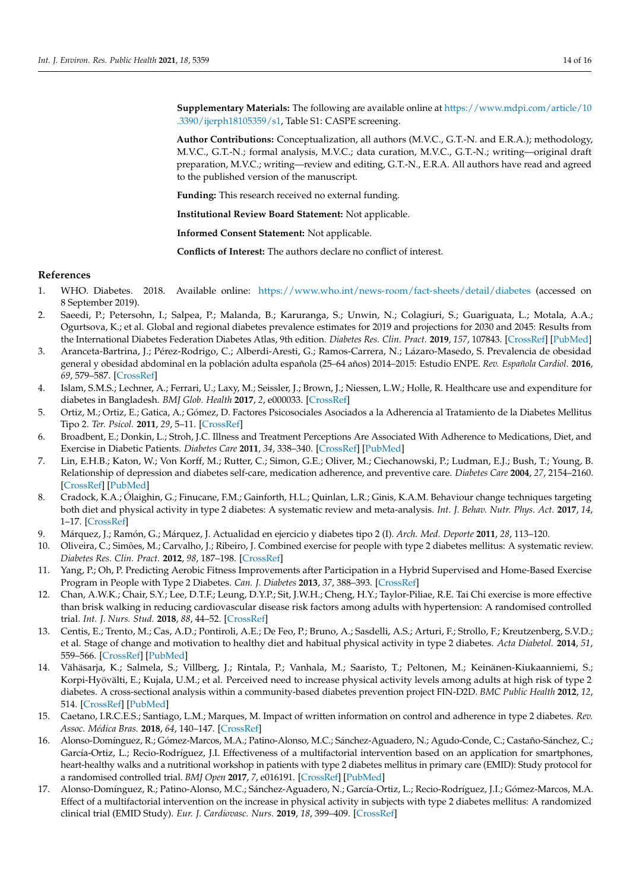**Supplementary Materials:** The following are available online at [https://www.mdpi.com/article/10](https://www.mdpi.com/article/10.3390/ijerph18105359/s1) [.3390/ijerph18105359/s1,](https://www.mdpi.com/article/10.3390/ijerph18105359/s1) Table S1: CASPE screening.

**Author Contributions:** Conceptualization, all authors (M.V.C., G.T.-N. and E.R.A.); methodology, M.V.C., G.T.-N.; formal analysis, M.V.C.; data curation, M.V.C., G.T.-N.; writing—original draft preparation, M.V.C.; writing—review and editing, G.T.-N., E.R.A. All authors have read and agreed to the published version of the manuscript.

**Funding:** This research received no external funding.

**Institutional Review Board Statement:** Not applicable.

**Informed Consent Statement:** Not applicable.

**Conflicts of Interest:** The authors declare no conflict of interest.

# **References**

- <span id="page-13-0"></span>1. WHO. Diabetes. 2018. Available online: <https://www.who.int/news-room/fact-sheets/detail/diabetes> (accessed on 8 September 2019).
- <span id="page-13-1"></span>2. Saeedi, P.; Petersohn, I.; Salpea, P.; Malanda, B.; Karuranga, S.; Unwin, N.; Colagiuri, S.; Guariguata, L.; Motala, A.A.; Ogurtsova, K.; et al. Global and regional diabetes prevalence estimates for 2019 and projections for 2030 and 2045: Results from the International Diabetes Federation Diabetes Atlas, 9th edition. *Diabetes Res. Clin. Pract.* **2019**, *157*, 107843. [\[CrossRef\]](http://doi.org/10.1016/j.diabres.2019.107843) [\[PubMed\]](http://www.ncbi.nlm.nih.gov/pubmed/31518657)
- <span id="page-13-14"></span><span id="page-13-2"></span>3. Aranceta-Bartrina, J.; Pérez-Rodrigo, C.; Alberdi-Aresti, G.; Ramos-Carrera, N.; Lázaro-Masedo, S. Prevalencia de obesidad general y obesidad abdominal en la población adulta española (25–64 años) 2014–2015: Estudio ENPE. *Rev. Española Cardiol.* **2016**, *69*, 579–587. [\[CrossRef\]](http://doi.org/10.1016/j.recesp.2016.02.010)
- <span id="page-13-3"></span>4. Islam, S.M.S.; Lechner, A.; Ferrari, U.; Laxy, M.; Seissler, J.; Brown, J.; Niessen, L.W.; Holle, R. Healthcare use and expenditure for diabetes in Bangladesh. *BMJ Glob. Health* **2017**, *2*, e000033. [\[CrossRef\]](http://doi.org/10.1136/bmjgh-2016-000033)
- <span id="page-13-4"></span>5. Ortiz, M.; Ortiz, E.; Gatica, A.; Gómez, D. Factores Psicosociales Asociados a la Adherencia al Tratamiento de la Diabetes Mellitus Tipo 2. *Ter. Psicol.* **2011**, *29*, 5–11. [\[CrossRef\]](http://doi.org/10.4067/S0718-48082011000100001)
- <span id="page-13-5"></span>6. Broadbent, E.; Donkin, L.; Stroh, J.C. Illness and Treatment Perceptions Are Associated With Adherence to Medications, Diet, and Exercise in Diabetic Patients. *Diabetes Care* **2011**, *34*, 338–340. [\[CrossRef\]](http://doi.org/10.2337/dc10-1779) [\[PubMed\]](http://www.ncbi.nlm.nih.gov/pubmed/21270191)
- 7. Lin, E.H.B.; Katon, W.; Von Korff, M.; Rutter, C.; Simon, G.E.; Oliver, M.; Ciechanowski, P.; Ludman, E.J.; Bush, T.; Young, B. Relationship of depression and diabetes self-care, medication adherence, and preventive care. *Diabetes Care* **2004**, *27*, 2154–2160. [\[CrossRef\]](http://doi.org/10.2337/diacare.27.9.2154) [\[PubMed\]](http://www.ncbi.nlm.nih.gov/pubmed/15333477)
- <span id="page-13-6"></span>8. Cradock, K.A.; Ólaighin, G.; Finucane, F.M.; Gainforth, H.L.; Quinlan, L.R.; Ginis, K.A.M. Behaviour change techniques targeting both diet and physical activity in type 2 diabetes: A systematic review and meta-analysis. *Int. J. Behav. Nutr. Phys. Act.* **2017**, *14*, 1–17. [\[CrossRef\]](http://doi.org/10.1186/s12966-016-0436-0)
- <span id="page-13-7"></span>9. Márquez, J.; Ramón, G.; Márquez, J. Actualidad en ejercicio y diabetes tipo 2 (I). *Arch. Med. Deporte* **2011**, *28*, 113–120.
- 10. Oliveira, C.; Simões, M.; Carvalho, J.; Ribeiro, J. Combined exercise for people with type 2 diabetes mellitus: A systematic review. *Diabetes Res. Clin. Pract.* **2012**, *98*, 187–198. [\[CrossRef\]](http://doi.org/10.1016/j.diabres.2012.08.004)
- <span id="page-13-8"></span>11. Yang, P.; Oh, P. Predicting Aerobic Fitness Improvements after Participation in a Hybrid Supervised and Home-Based Exercise Program in People with Type 2 Diabetes. *Can. J. Diabetes* **2013**, *37*, 388–393. [\[CrossRef\]](http://doi.org/10.1016/j.jcjd.2013.09.004)
- <span id="page-13-9"></span>12. Chan, A.W.K.; Chair, S.Y.; Lee, D.T.F.; Leung, D.Y.P.; Sit, J.W.H.; Cheng, H.Y.; Taylor-Piliae, R.E. Tai Chi exercise is more effective than brisk walking in reducing cardiovascular disease risk factors among adults with hypertension: A randomised controlled trial. *Int. J. Nurs. Stud.* **2018**, *88*, 44–52. [\[CrossRef\]](http://doi.org/10.1016/j.ijnurstu.2018.08.009)
- <span id="page-13-10"></span>13. Centis, E.; Trento, M.; Cas, A.D.; Pontiroli, A.E.; De Feo, P.; Bruno, A.; Sasdelli, A.S.; Arturi, F.; Strollo, F.; Kreutzenberg, S.V.D.; et al. Stage of change and motivation to healthy diet and habitual physical activity in type 2 diabetes. *Acta Diabetol.* **2014**, *51*, 559–566. [\[CrossRef\]](http://doi.org/10.1007/s00592-013-0551-1) [\[PubMed\]](http://www.ncbi.nlm.nih.gov/pubmed/24442514)
- <span id="page-13-11"></span>14. Vähäsarja, K.; Salmela, S.; Villberg, J.; Rintala, P.; Vanhala, M.; Saaristo, T.; Peltonen, M.; Keinänen-Kiukaanniemi, S.; Korpi-Hyövälti, E.; Kujala, U.M.; et al. Perceived need to increase physical activity levels among adults at high risk of type 2 diabetes. A cross-sectional analysis within a community-based diabetes prevention project FIN-D2D. *BMC Public Health* **2012**, *12*, 514. [\[CrossRef\]](http://doi.org/10.1186/1471-2458-12-514) [\[PubMed\]](http://www.ncbi.nlm.nih.gov/pubmed/22781026)
- <span id="page-13-12"></span>15. Caetano, I.R.C.E.S.; Santiago, L.M.; Marques, M. Impact of written information on control and adherence in type 2 diabetes. *Rev. Assoc. Médica Bras.* **2018**, *64*, 140–147. [\[CrossRef\]](http://doi.org/10.1590/1806-9282.64.02.140)
- 16. Alonso-Domínguez, R.; Gómez-Marcos, M.A.; Patino-Alonso, M.C.; Sánchez-Aguadero, N.; Agudo-Conde, C.; Castaño-Sánchez, C.; García-Ortiz, L.; Recio-Rodríguez, J.I. Effectiveness of a multifactorial intervention based on an application for smartphones, heart-healthy walks and a nutritional workshop in patients with type 2 diabetes mellitus in primary care (EMID): Study protocol for a randomised controlled trial. *BMJ Open* **2017**, *7*, e016191. [\[CrossRef\]](http://doi.org/10.1136/bmjopen-2017-016191) [\[PubMed\]](http://www.ncbi.nlm.nih.gov/pubmed/28912193)
- <span id="page-13-13"></span>17. Alonso-Domínguez, R.; Patino-Alonso, M.C.; Sánchez-Aguadero, N.; García-Ortiz, L.; Recio-Rodríguez, J.I.; Gómez-Marcos, M.A. Effect of a multifactorial intervention on the increase in physical activity in subjects with type 2 diabetes mellitus: A randomized clinical trial (EMID Study). *Eur. J. Cardiovasc. Nurs.* **2019**, *18*, 399–409. [\[CrossRef\]](http://doi.org/10.1177/1474515119835048)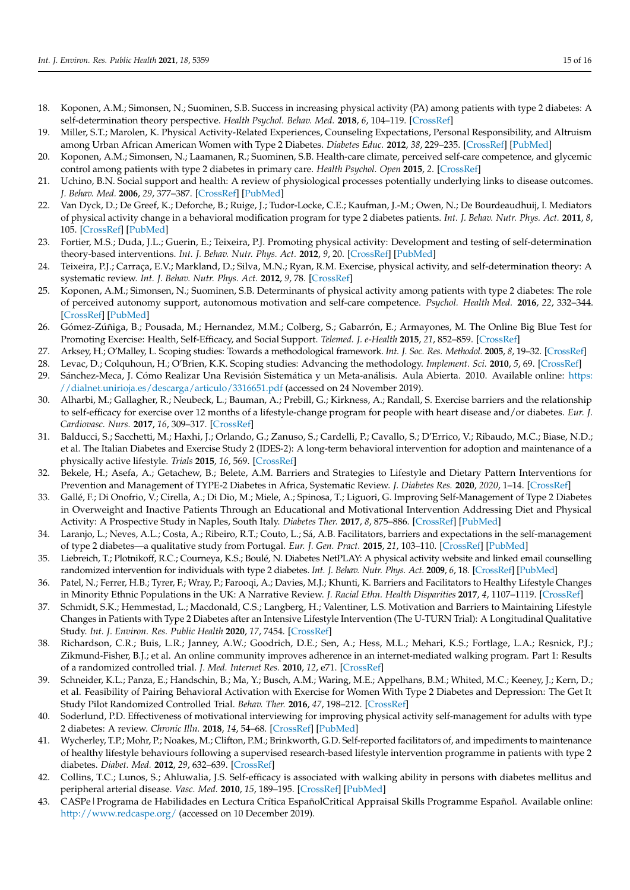- <span id="page-14-26"></span><span id="page-14-20"></span><span id="page-14-17"></span><span id="page-14-16"></span><span id="page-14-0"></span>18. Koponen, A.M.; Simonsen, N.; Suominen, S.B. Success in increasing physical activity (PA) among patients with type 2 diabetes: A self-determination theory perspective. *Health Psychol. Behav. Med.* **2018**, *6*, 104–119. [\[CrossRef\]](http://doi.org/10.1080/21642850.2018.1462707)
- <span id="page-14-12"></span><span id="page-14-1"></span>19. Miller, S.T.; Marolen, K. Physical Activity-Related Experiences, Counseling Expectations, Personal Responsibility, and Altruism among Urban African American Women with Type 2 Diabetes. *Diabetes Educ.* **2012**, *38*, 229–235. [\[CrossRef\]](http://doi.org/10.1177/0145721712437558) [\[PubMed\]](http://www.ncbi.nlm.nih.gov/pubmed/22454407)
- <span id="page-14-2"></span>20. Koponen, A.M.; Simonsen, N.; Laamanen, R.; Suominen, S.B. Health-care climate, perceived self-care competence, and glycemic control among patients with type 2 diabetes in primary care. *Health Psychol. Open* **2015**, *2*. [\[CrossRef\]](http://doi.org/10.1177/2055102915579778)
- <span id="page-14-13"></span><span id="page-14-3"></span>21. Uchino, B.N. Social support and health: A review of physiological processes potentially underlying links to disease outcomes. *J. Behav. Med.* **2006**, *29*, 377–387. [\[CrossRef\]](http://doi.org/10.1007/s10865-006-9056-5) [\[PubMed\]](http://www.ncbi.nlm.nih.gov/pubmed/16758315)
- <span id="page-14-14"></span><span id="page-14-4"></span>22. Van Dyck, D.; De Greef, K.; Deforche, B.; Ruige, J.; Tudor-Locke, C.E.; Kaufman, J.-M.; Owen, N.; De Bourdeaudhuij, I. Mediators of physical activity change in a behavioral modification program for type 2 diabetes patients. *Int. J. Behav. Nutr. Phys. Act.* **2011**, *8*, 105. [\[CrossRef\]](http://doi.org/10.1186/1479-5868-8-105) [\[PubMed\]](http://www.ncbi.nlm.nih.gov/pubmed/21958233)
- <span id="page-14-15"></span><span id="page-14-5"></span>23. Fortier, M.S.; Duda, J.L.; Guerin, E.; Teixeira, P.J. Promoting physical activity: Development and testing of self-determination theory-based interventions. *Int. J. Behav. Nutr. Phys. Act.* **2012**, *9*, 20. [\[CrossRef\]](http://doi.org/10.1186/1479-5868-9-20) [\[PubMed\]](http://www.ncbi.nlm.nih.gov/pubmed/22385751)
- <span id="page-14-18"></span><span id="page-14-6"></span>24. Teixeira, P.J.; Carraça, E.V.; Markland, D.; Silva, M.N.; Ryan, R.M. Exercise, physical activity, and self-determination theory: A systematic review. *Int. J. Behav. Nutr. Phys. Act.* **2012**, *9*, 78. [\[CrossRef\]](http://doi.org/10.1186/1479-5868-9-78)
- <span id="page-14-19"></span><span id="page-14-7"></span>25. Koponen, A.M.; Simonsen, N.; Suominen, S.B. Determinants of physical activity among patients with type 2 diabetes: The role of perceived autonomy support, autonomous motivation and self-care competence. *Psychol. Health Med.* **2016**, *22*, 332–344. [\[CrossRef\]](http://doi.org/10.1080/13548506.2016.1154179) [\[PubMed\]](http://www.ncbi.nlm.nih.gov/pubmed/26952696)
- <span id="page-14-21"></span><span id="page-14-8"></span>26. Gómez-Zúñiga, B.; Pousada, M.; Hernandez, M.M.; Colberg, S.; Gabarrón, E.; Armayones, M. The Online Big Blue Test for Promoting Exercise: Health, Self-Efficacy, and Social Support. *Telemed. J. e-Health* **2015**, *21*, 852–859. [\[CrossRef\]](http://doi.org/10.1089/tmj.2014.0158)
- <span id="page-14-22"></span><span id="page-14-9"></span>27. Arksey, H.; O'Malley, L. Scoping studies: Towards a methodological framework. *Int. J. Soc. Res. Methodol.* **2005**, *8*, 19–32. [\[CrossRef\]](http://doi.org/10.1080/1364557032000119616)
- <span id="page-14-10"></span>28. Levac, D.; Colquhoun, H.; O'Brien, K.K. Scoping studies: Advancing the methodology. *Implement. Sci.* **2010**, *5*, 69. [\[CrossRef\]](http://doi.org/10.1186/1748-5908-5-69)
- <span id="page-14-23"></span><span id="page-14-11"></span>29. Sánchez-Meca, J. Cómo Realizar Una Revisión Sistemática y un Meta-análisis. Aula Abierta. 2010. Available online: [https:](https://dialnet.unirioja.es/descarga/articulo/3316651.pdf) [//dialnet.unirioja.es/descarga/articulo/3316651.pdf](https://dialnet.unirioja.es/descarga/articulo/3316651.pdf) (accessed on 24 November 2019).
- <span id="page-14-33"></span><span id="page-14-24"></span>30. Alharbi, M.; Gallagher, R.; Neubeck, L.; Bauman, A.; Prebill, G.; Kirkness, A.; Randall, S. Exercise barriers and the relationship to self-efficacy for exercise over 12 months of a lifestyle-change program for people with heart disease and/or diabetes. *Eur. J. Cardiovasc. Nurs.* **2017**, *16*, 309–317. [\[CrossRef\]](http://doi.org/10.1177/1474515116666475)
- <span id="page-14-31"></span><span id="page-14-25"></span>31. Balducci, S.; Sacchetti, M.; Haxhi, J.; Orlando, G.; Zanuso, S.; Cardelli, P.; Cavallo, S.; D'Errico, V.; Ribaudo, M.C.; Biase, N.D.; et al. The Italian Diabetes and Exercise Study 2 (IDES-2): A long-term behavioral intervention for adoption and maintenance of a physically active lifestyle. *Trials* **2015**, *16*, 569. [\[CrossRef\]](http://doi.org/10.1186/s13063-015-1088-0)
- <span id="page-14-37"></span><span id="page-14-27"></span>32. Bekele, H.; Asefa, A.; Getachew, B.; Belete, A.M. Barriers and Strategies to Lifestyle and Dietary Pattern Interventions for Prevention and Management of TYPE-2 Diabetes in Africa, Systematic Review. *J. Diabetes Res.* **2020**, *2020*, 1–14. [\[CrossRef\]](http://doi.org/10.1155/2020/7948712)
- <span id="page-14-32"></span>33. Gallé, F.; Di Onofrio, V.; Cirella, A.; Di Dio, M.; Miele, A.; Spinosa, T.; Liguori, G. Improving Self-Management of Type 2 Diabetes in Overweight and Inactive Patients Through an Educational and Motivational Intervention Addressing Diet and Physical Activity: A Prospective Study in Naples, South Italy. *Diabetes Ther.* **2017**, *8*, 875–886. [\[CrossRef\]](http://doi.org/10.1007/s13300-017-0283-2) [\[PubMed\]](http://www.ncbi.nlm.nih.gov/pubmed/28631241)
- <span id="page-14-38"></span>34. Laranjo, L.; Neves, A.L.; Costa, A.; Ribeiro, R.T.; Couto, L.; Sá, A.B. Facilitators, barriers and expectations in the self-management of type 2 diabetes—a qualitative study from Portugal. *Eur. J. Gen. Pract.* **2015**, *21*, 103–110. [\[CrossRef\]](http://doi.org/10.3109/13814788.2014.1000855) [\[PubMed\]](http://www.ncbi.nlm.nih.gov/pubmed/25698085)
- <span id="page-14-40"></span>35. Liebreich, T.; Plotnikoff, R.C.; Courneya, K.S.; Boulé, N. Diabetes NetPLAY: A physical activity website and linked email counselling randomized intervention for individuals with type 2 diabetes. *Int. J. Behav. Nutr. Phys. Act.* **2009**, *6*, 18. [\[CrossRef\]](http://doi.org/10.1186/1479-5868-6-18) [\[PubMed\]](http://www.ncbi.nlm.nih.gov/pubmed/19327141)
- <span id="page-14-39"></span>36. Patel, N.; Ferrer, H.B.; Tyrer, F.; Wray, P.; Farooqi, A.; Davies, M.J.; Khunti, K. Barriers and Facilitators to Healthy Lifestyle Changes in Minority Ethnic Populations in the UK: A Narrative Review. *J. Racial Ethn. Health Disparities* **2017**, *4*, 1107–1119. [\[CrossRef\]](http://doi.org/10.1007/s40615-016-0316-y)
- <span id="page-14-41"></span>37. Schmidt, S.K.; Hemmestad, L.; Macdonald, C.S.; Langberg, H.; Valentiner, L.S. Motivation and Barriers to Maintaining Lifestyle Changes in Patients with Type 2 Diabetes after an Intensive Lifestyle Intervention (The U-TURN Trial): A Longitudinal Qualitative Study. *Int. J. Environ. Res. Public Health* **2020**, *17*, 7454. [\[CrossRef\]](http://doi.org/10.3390/ijerph17207454)
- <span id="page-14-28"></span>38. Richardson, C.R.; Buis, L.R.; Janney, A.W.; Goodrich, D.E.; Sen, A.; Hess, M.L.; Mehari, K.S.; Fortlage, L.A.; Resnick, P.J.; Zikmund-Fisher, B.J.; et al. An online community improves adherence in an internet-mediated walking program. Part 1: Results of a randomized controlled trial. *J. Med. Internet Res.* **2010**, *12*, e71. [\[CrossRef\]](http://doi.org/10.2196/jmir.1338)
- <span id="page-14-36"></span>39. Schneider, K.L.; Panza, E.; Handschin, B.; Ma, Y.; Busch, A.M.; Waring, M.E.; Appelhans, B.M.; Whited, M.C.; Keeney, J.; Kern, D.; et al. Feasibility of Pairing Behavioral Activation with Exercise for Women With Type 2 Diabetes and Depression: The Get It Study Pilot Randomized Controlled Trial. *Behav. Ther.* **2016**, *47*, 198–212. [\[CrossRef\]](http://doi.org/10.1016/j.beth.2015.10.005)
- <span id="page-14-29"></span>40. Soderlund, P.D. Effectiveness of motivational interviewing for improving physical activity self-management for adults with type 2 diabetes: A review. *Chronic Illn.* **2018**, *14*, 54–68. [\[CrossRef\]](http://doi.org/10.1177/1742395317699449) [\[PubMed\]](http://www.ncbi.nlm.nih.gov/pubmed/29226694)
- <span id="page-14-34"></span>41. Wycherley, T.P.; Mohr, P.; Noakes, M.; Clifton, P.M.; Brinkworth, G.D. Self-reported facilitators of, and impediments to maintenance of healthy lifestyle behaviours following a supervised research-based lifestyle intervention programme in patients with type 2 diabetes. *Diabet. Med.* **2012**, *29*, 632–639. [\[CrossRef\]](http://doi.org/10.1111/j.1464-5491.2011.03451.x)
- <span id="page-14-30"></span>42. Collins, T.C.; Lunos, S.; Ahluwalia, J.S. Self-efficacy is associated with walking ability in persons with diabetes mellitus and peripheral arterial disease. *Vasc. Med.* **2010**, *15*, 189–195. [\[CrossRef\]](http://doi.org/10.1177/1358863X10362604) [\[PubMed\]](http://www.ncbi.nlm.nih.gov/pubmed/20375127)
- <span id="page-14-35"></span>43. CASPe|Programa de Habilidades en Lectura Crítica EspañolCritical Appraisal Skills Programme Español. Available online: <http://www.redcaspe.org/> (accessed on 10 December 2019).